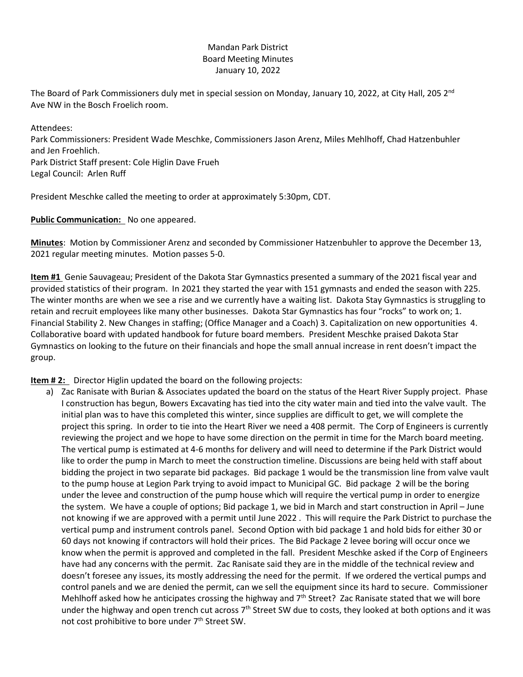## Mandan Park District Board Meeting Minutes January 10, 2022

The Board of Park Commissioners duly met in special session on Monday, January 10, 2022, at City Hall, 205 2<sup>nd</sup> Ave NW in the Bosch Froelich room.

Attendees: Park Commissioners: President Wade Meschke, Commissioners Jason Arenz, Miles Mehlhoff, Chad Hatzenbuhler and Jen Froehlich. Park District Staff present: Cole Higlin Dave Frueh Legal Council: Arlen Ruff

President Meschke called the meeting to order at approximately 5:30pm, CDT.

**Public Communication:** No one appeared.

**Minutes**: Motion by Commissioner Arenz and seconded by Commissioner Hatzenbuhler to approve the December 13, 2021 regular meeting minutes. Motion passes 5-0.

**Item #1** Genie Sauvageau; President of the Dakota Star Gymnastics presented a summary of the 2021 fiscal year and provided statistics of their program. In 2021 they started the year with 151 gymnasts and ended the season with 225. The winter months are when we see a rise and we currently have a waiting list. Dakota Stay Gymnastics is struggling to retain and recruit employees like many other businesses. Dakota Star Gymnastics has four "rocks" to work on; 1. Financial Stability 2. New Changes in staffing; (Office Manager and a Coach) 3. Capitalization on new opportunities 4. Collaborative board with updated handbook for future board members. President Meschke praised Dakota Star Gymnastics on looking to the future on their financials and hope the small annual increase in rent doesn't impact the group.

**Item #2:** Director Higlin updated the board on the following projects:

a) Zac Ranisate with Burian & Associates updated the board on the status of the Heart River Supply project. Phase I construction has begun, Bowers Excavating has tied into the city water main and tied into the valve vault. The initial plan was to have this completed this winter, since supplies are difficult to get, we will complete the project this spring. In order to tie into the Heart River we need a 408 permit. The Corp of Engineers is currently reviewing the project and we hope to have some direction on the permit in time for the March board meeting. The vertical pump is estimated at 4-6 months for delivery and will need to determine if the Park District would like to order the pump in March to meet the construction timeline. Discussions are being held with staff about bidding the project in two separate bid packages. Bid package 1 would be the transmission line from valve vault to the pump house at Legion Park trying to avoid impact to Municipal GC. Bid package 2 will be the boring under the levee and construction of the pump house which will require the vertical pump in order to energize the system. We have a couple of options; Bid package 1, we bid in March and start construction in April – June not knowing if we are approved with a permit until June 2022 . This will require the Park District to purchase the vertical pump and instrument controls panel. Second Option with bid package 1 and hold bids for either 30 or 60 days not knowing if contractors will hold their prices. The Bid Package 2 levee boring will occur once we know when the permit is approved and completed in the fall. President Meschke asked if the Corp of Engineers have had any concerns with the permit. Zac Ranisate said they are in the middle of the technical review and doesn't foresee any issues, its mostly addressing the need for the permit. If we ordered the vertical pumps and control panels and we are denied the permit, can we sell the equipment since its hard to secure. Commissioner Mehlhoff asked how he anticipates crossing the highway and  $7<sup>th</sup>$  Street? Zac Ranisate stated that we will bore under the highway and open trench cut across 7<sup>th</sup> Street SW due to costs, they looked at both options and it was not cost prohibitive to bore under 7<sup>th</sup> Street SW.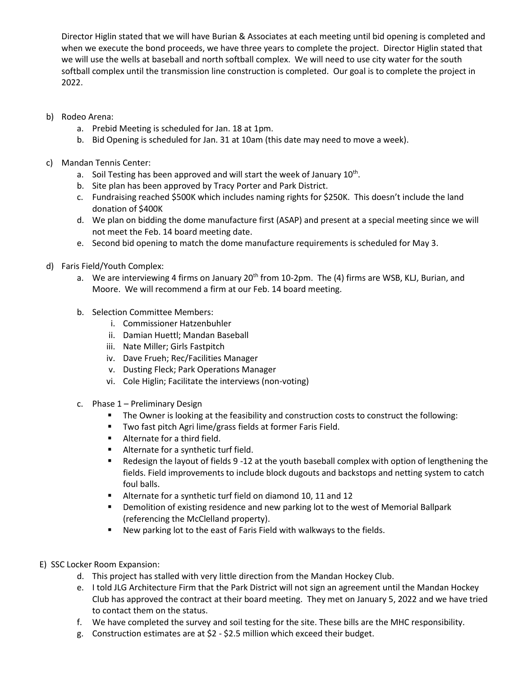Director Higlin stated that we will have Burian & Associates at each meeting until bid opening is completed and when we execute the bond proceeds, we have three years to complete the project. Director Higlin stated that we will use the wells at baseball and north softball complex. We will need to use city water for the south softball complex until the transmission line construction is completed. Our goal is to complete the project in 2022.

- b) Rodeo Arena:
	- a. Prebid Meeting is scheduled for Jan. 18 at 1pm.
	- b. Bid Opening is scheduled for Jan. 31 at 10am (this date may need to move a week).
- c) Mandan Tennis Center:
	- a. Soil Testing has been approved and will start the week of January  $10^{\text{th}}$ .
	- b. Site plan has been approved by Tracy Porter and Park District.
	- c. Fundraising reached \$500K which includes naming rights for \$250K. This doesn't include the land donation of \$400K
	- d. We plan on bidding the dome manufacture first (ASAP) and present at a special meeting since we will not meet the Feb. 14 board meeting date.
	- e. Second bid opening to match the dome manufacture requirements is scheduled for May 3.
- d) Faris Field/Youth Complex:
	- a. We are interviewing 4 firms on January 20<sup>th</sup> from 10-2pm. The (4) firms are WSB, KLJ, Burian, and Moore. We will recommend a firm at our Feb. 14 board meeting.
	- b. Selection Committee Members:
		- i. Commissioner Hatzenbuhler
		- ii. Damian Huettl; Mandan Baseball
		- iii. Nate Miller; Girls Fastpitch
		- iv. Dave Frueh; Rec/Facilities Manager
		- v. Dusting Fleck; Park Operations Manager
		- vi. Cole Higlin; Facilitate the interviews (non-voting)
	- c. Phase 1 Preliminary Design
		- **The Owner is looking at the feasibility and construction costs to construct the following:**
		- **Two fast pitch Agri lime/grass fields at former Faris Field.**
		- **Alternate for a third field.**
		- **Alternate for a synthetic turf field.**
		- Redesign the layout of fields 9 -12 at the youth baseball complex with option of lengthening the fields. Field improvements to include block dugouts and backstops and netting system to catch foul balls.
		- Alternate for a synthetic turf field on diamond 10, 11 and 12
		- **Phonolition of existing residence and new parking lot to the west of Memorial Ballpark** (referencing the McClelland property).
		- **New parking lot to the east of Faris Field with walkways to the fields.**
- E) SSC Locker Room Expansion:
	- d. This project has stalled with very little direction from the Mandan Hockey Club.
	- e. I told JLG Architecture Firm that the Park District will not sign an agreement until the Mandan Hockey Club has approved the contract at their board meeting. They met on January 5, 2022 and we have tried to contact them on the status.
	- f. We have completed the survey and soil testing for the site. These bills are the MHC responsibility.
	- g. Construction estimates are at \$2 \$2.5 million which exceed their budget.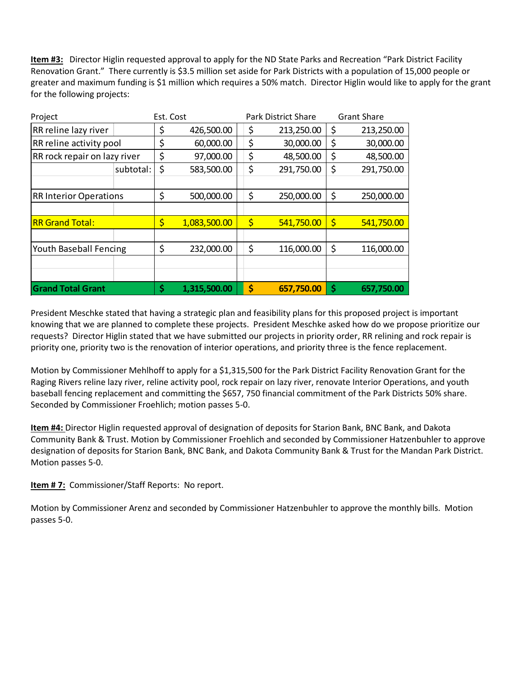**Item #3:** Director Higlin requested approval to apply for the ND State Parks and Recreation "Park District Facility Renovation Grant." There currently is \$3.5 million set aside for Park Districts with a population of 15,000 people or greater and maximum funding is \$1 million which requires a 50% match. Director Higlin would like to apply for the grant for the following projects:

| Project                       |           | Est. Cost |              | <b>Park District Share</b> | <b>Grant Share</b> |            |
|-------------------------------|-----------|-----------|--------------|----------------------------|--------------------|------------|
| RR reline lazy river          |           | \$        | 426,500.00   | \$<br>213,250.00           | \$                 | 213,250.00 |
| RR reline activity pool       |           | \$        | 60,000.00    | \$<br>30,000.00            | \$                 | 30,000.00  |
| RR rock repair on lazy river  |           | \$        | 97,000.00    | \$<br>48,500.00            | \$                 | 48,500.00  |
|                               | subtotal: | \$        | 583,500.00   | \$<br>291,750.00           | \$                 | 291,750.00 |
|                               |           |           |              |                            |                    |            |
| <b>RR Interior Operations</b> |           | \$        | 500,000.00   | \$<br>250,000.00           | \$                 | 250,000.00 |
|                               |           |           |              |                            |                    |            |
| <b>RR Grand Total:</b>        |           | \$        | 1,083,500.00 | \$<br>541,750.00           | \$                 | 541,750.00 |
|                               |           |           |              |                            |                    |            |
| <b>Youth Baseball Fencing</b> |           | \$        | 232,000.00   | \$<br>116,000.00           | \$                 | 116,000.00 |
|                               |           |           |              |                            |                    |            |
|                               |           |           |              |                            |                    |            |
| <b>Grand Total Grant</b>      |           | \$        | 1,315,500.00 | \$<br>657,750.00           | \$                 | 657,750.00 |

President Meschke stated that having a strategic plan and feasibility plans for this proposed project is important knowing that we are planned to complete these projects. President Meschke asked how do we propose prioritize our requests? Director Higlin stated that we have submitted our projects in priority order, RR relining and rock repair is priority one, priority two is the renovation of interior operations, and priority three is the fence replacement.

Motion by Commissioner Mehlhoff to apply for a \$1,315,500 for the Park District Facility Renovation Grant for the Raging Rivers reline lazy river, reline activity pool, rock repair on lazy river, renovate Interior Operations, and youth baseball fencing replacement and committing the \$657, 750 financial commitment of the Park Districts 50% share. Seconded by Commissioner Froehlich; motion passes 5-0.

**Item #4:** Director Higlin requested approval of designation of deposits for Starion Bank, BNC Bank, and Dakota Community Bank & Trust. Motion by Commissioner Froehlich and seconded by Commissioner Hatzenbuhler to approve designation of deposits for Starion Bank, BNC Bank, and Dakota Community Bank & Trust for the Mandan Park District. Motion passes 5-0.

**Item # 7:** Commissioner/Staff Reports: No report.

Motion by Commissioner Arenz and seconded by Commissioner Hatzenbuhler to approve the monthly bills. Motion passes 5-0.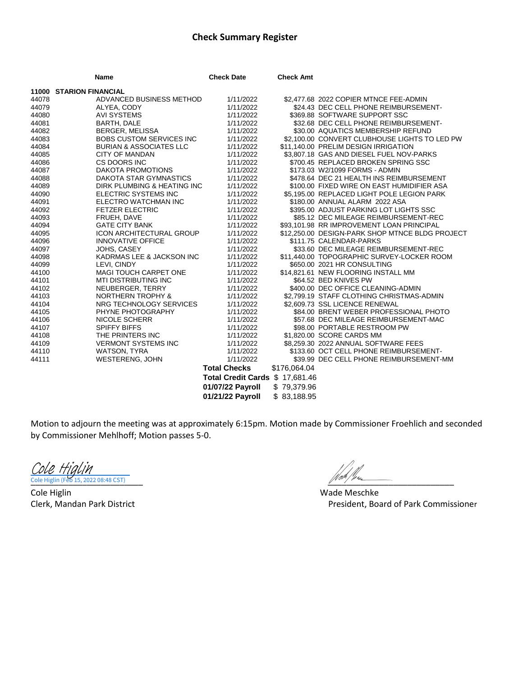## **Check Summary Register**

|       | Name                               | <b>Check Date</b>         | <b>Check Amt</b> |                                                 |
|-------|------------------------------------|---------------------------|------------------|-------------------------------------------------|
|       | <b>11000 STARION FINANCIAL</b>     |                           |                  |                                                 |
| 44078 | ADVANCED BUSINESS METHOD           | 1/11/2022                 |                  | \$2,477.68 2022 COPIER MTNCE FEE-ADMIN          |
| 44079 | ALYEA, CODY                        | 1/11/2022                 |                  | \$24.43 DEC CELL PHONE REIMBURSEMENT-           |
| 44080 | <b>AVI SYSTEMS</b>                 | 1/11/2022                 |                  | \$369.88 SOFTWARE SUPPORT SSC                   |
| 44081 | <b>BARTH, DALE</b>                 | 1/11/2022                 |                  | \$32.68 DEC CELL PHONE REIMBURSEMENT-           |
| 44082 | BERGER, MELISSA                    | 1/11/2022                 |                  | \$30.00 AQUATICS MEMBERSHIP REFUND              |
| 44083 | <b>BOBS CUSTOM SERVICES INC</b>    | 1/11/2022                 |                  | \$2,100.00 CONVERT CLUBHOUSE LIGHTS TO LED PW   |
| 44084 | <b>BURIAN &amp; ASSOCIATES LLC</b> | 1/11/2022                 |                  | \$11,140.00 PRELIM DESIGN IRRIGATION            |
| 44085 | <b>CITY OF MANDAN</b>              | 1/11/2022                 |                  | \$3,807.18 GAS AND DIESEL FUEL NOV-PARKS        |
| 44086 | CS DOORS INC                       | 1/11/2022                 |                  | \$700.45 REPLACED BROKEN SPRING SSC             |
| 44087 | DAKOTA PROMOTIONS                  | 1/11/2022                 |                  | \$173.03 W2/1099 FORMS - ADMIN                  |
| 44088 | DAKOTA STAR GYMNASTICS             | 1/11/2022                 |                  | \$478.64 DEC 21 HEALTH INS REIMBURSEMENT        |
| 44089 | DIRK PLUMBING & HEATING INC        | 1/11/2022                 |                  | \$100.00 FIXED WIRE ON EAST HUMIDIFIER ASA      |
| 44090 | ELECTRIC SYSTEMS INC               | 1/11/2022                 |                  | \$5,195.00 REPLACED LIGHT POLE LEGION PARK      |
| 44091 | ELECTRO WATCHMAN INC               | 1/11/2022                 |                  | \$180.00 ANNUAL ALARM 2022 ASA                  |
| 44092 | <b>FETZER ELECTRIC</b>             | 1/11/2022                 |                  | \$395.00 ADJUST PARKING LOT LIGHTS SSC          |
| 44093 | FRUEH, DAVE                        | 1/11/2022                 |                  | \$85.12 DEC MILEAGE REIMBURSEMENT-REC           |
| 44094 | <b>GATE CITY BANK</b>              | 1/11/2022                 |                  | \$93,101.98 RR IMPROVEMENT LOAN PRINCIPAL       |
| 44095 | <b>ICON ARCHITECTURAL GROUP</b>    | 1/11/2022                 |                  | \$12,250.00 DESIGN-PARK SHOP MTNCE BLDG PROJECT |
| 44096 | <b>INNOVATIVE OFFICE</b>           | 1/11/2022                 |                  | \$111.75 CALENDAR-PARKS                         |
| 44097 | JOHS, CASEY                        | 1/11/2022                 |                  | \$33.60 DEC MILEAGE REIMBURSEMENT-REC           |
| 44098 | KADRMAS LEE & JACKSON INC          | 1/11/2022                 |                  | \$11,440.00 TOPOGRAPHIC SURVEY-LOCKER ROOM      |
| 44099 | LEVI, CINDY                        | 1/11/2022                 |                  | \$650.00 2021 HR CONSULTING                     |
| 44100 | <b>MAGI TOUCH CARPET ONE</b>       | 1/11/2022                 |                  | \$14,821.61 NEW FLOORING INSTALL MM             |
| 44101 | MTI DISTRIBUTING INC               | 1/11/2022                 |                  | \$64.52 BED KNIVES PW                           |
| 44102 | NEUBERGER, TERRY                   | 1/11/2022                 |                  | \$400.00 DEC OFFICE CLEANING-ADMIN              |
| 44103 | <b>NORTHERN TROPHY &amp;</b>       | 1/11/2022                 |                  | \$2,799.19 STAFF CLOTHING CHRISTMAS-ADMIN       |
| 44104 | NRG TECHNOLOGY SERVICES            | 1/11/2022                 |                  | \$2,609.73 SSL LICENCE RENEWAL                  |
| 44105 | PHYNE PHOTOGRAPHY                  | 1/11/2022                 |                  | \$84.00 BRENT WEBER PROFESSIONAL PHOTO          |
| 44106 | <b>NICOLE SCHERR</b>               | 1/11/2022                 |                  | \$57.68 DEC MILEAGE REIMBURSEMENT-MAC           |
| 44107 | <b>SPIFFY BIFFS</b>                | 1/11/2022                 |                  | \$98.00 PORTABLE RESTROOM PW                    |
| 44108 | THE PRINTERS INC                   | 1/11/2022                 |                  | \$1,820.00 SCORE CARDS MM                       |
| 44109 | <b>VERMONT SYSTEMS INC</b>         | 1/11/2022                 |                  | \$8,259,30 2022 ANNUAL SOFTWARE FEES            |
| 44110 | WATSON, TYRA                       | 1/11/2022                 |                  | \$133.60 OCT CELL PHONE REIMBURSEMENT-          |
| 44111 | <b>WESTERENG, JOHN</b>             | 1/11/2022                 |                  | \$39.99 DEC CELL PHONE REIMBURSEMENT-MM         |
|       |                                    | <b>Total Checks</b>       | \$176,064.04     |                                                 |
|       |                                    | <b>Total Credit Cards</b> | \$17,681.46      |                                                 |
|       |                                    | 01/07/22 Payroll          | \$79,379.96      |                                                 |
|       |                                    | 01/21/22 Payroll          | \$83,188.95      |                                                 |

Motion to adjourn the meeting was at approximately 6:15pm. Motion made by Commissioner Froehlich and seconded by Commissioner Mehlhoff; Motion passes 5-0.

 $\frac{Cole\;Higlin}{\frac{1}{1000}\left(\frac{1}{1000}\right)}$ 

Cole Higlin Wade Meschke

Clerk, Mandan Park District **President, Board of Park Commissioner** President, Board of Park Commissioner